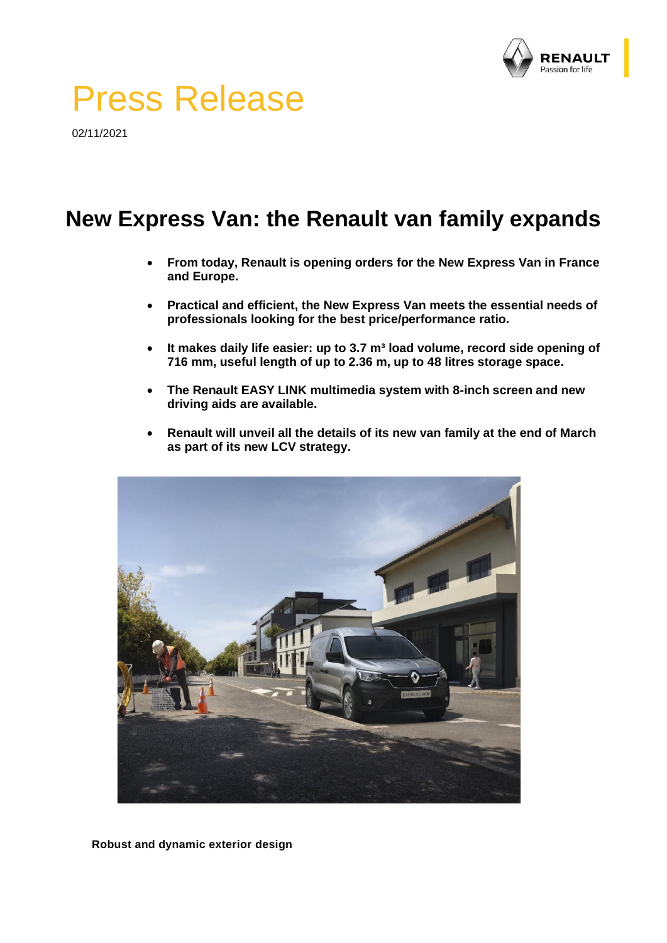

# Press Release

02/11/2021

# **New Express Van: the Renault van family expands**

- **From today, Renault is opening orders for the New Express Van in France and Europe.**
- **Practical and efficient, the New Express Van meets the essential needs of professionals looking for the best price/performance ratio.**
- It makes daily life easier: up to 3.7 m<sup>3</sup> load volume, record side opening of **716 mm, useful length of up to 2.36 m, up to 48 litres storage space.**
- **The Renault EASY LINK multimedia system with 8-inch screen and new driving aids are available.**
- **Renault will unveil all the details of its new van family at the end of March as part of its new LCV strategy.**



**Robust and dynamic exterior design**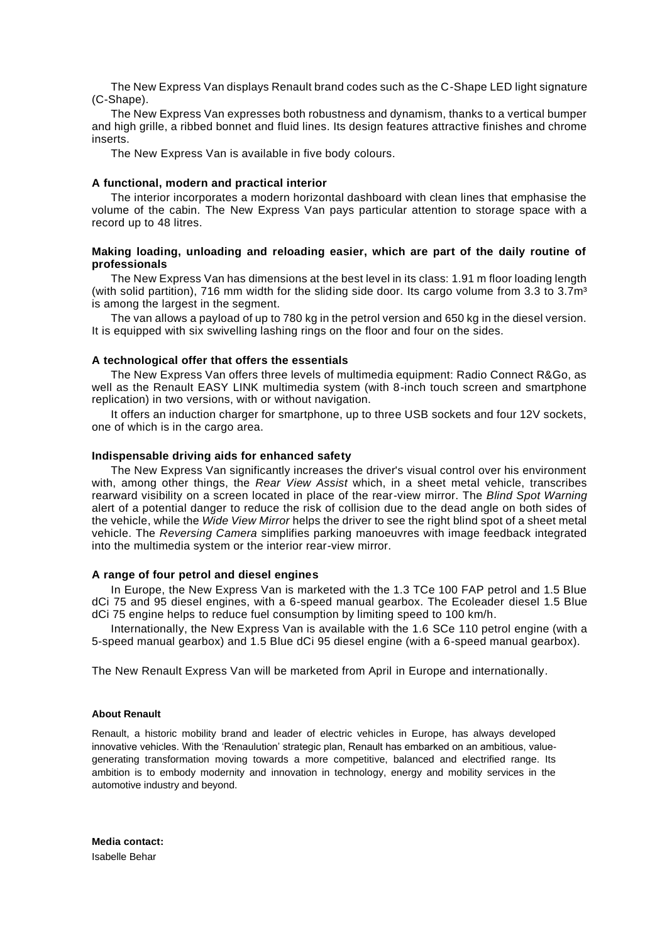The New Express Van displays Renault brand codes such as the C-Shape LED light signature (C-Shape).

The New Express Van expresses both robustness and dynamism, thanks to a vertical bumper and high grille, a ribbed bonnet and fluid lines. Its design features attractive finishes and chrome inserts.

The New Express Van is available in five body colours.

#### **A functional, modern and practical interior**

The interior incorporates a modern horizontal dashboard with clean lines that emphasise the volume of the cabin. The New Express Van pays particular attention to storage space with a record up to 48 litres.

## **Making loading, unloading and reloading easier, which are part of the daily routine of professionals**

The New Express Van has dimensions at the best level in its class: 1.91 m floor loading length (with solid partition), 716 mm width for the sliding side door. Its cargo volume from 3.3 to 3.7 $m<sup>3</sup>$ is among the largest in the segment.

The van allows a payload of up to 780 kg in the petrol version and 650 kg in the diesel version. It is equipped with six swivelling lashing rings on the floor and four on the sides.

### **A technological offer that offers the essentials**

The New Express Van offers three levels of multimedia equipment: Radio Connect R&Go, as well as the Renault EASY LINK multimedia system (with 8-inch touch screen and smartphone replication) in two versions, with or without navigation.

It offers an induction charger for smartphone, up to three USB sockets and four 12V sockets, one of which is in the cargo area.

#### **Indispensable driving aids for enhanced safety**

The New Express Van significantly increases the driver's visual control over his environment with, among other things, the *Rear View Assist* which, in a sheet metal vehicle, transcribes rearward visibility on a screen located in place of the rear-view mirror. The *Blind Spot Warning* alert of a potential danger to reduce the risk of collision due to the dead angle on both sides of the vehicle, while the *Wide View Mirror* helps the driver to see the right blind spot of a sheet metal vehicle. The *Reversing Camera* simplifies parking manoeuvres with image feedback integrated into the multimedia system or the interior rear-view mirror.

#### **A range of four petrol and diesel engines**

In Europe, the New Express Van is marketed with the 1.3 TCe 100 FAP petrol and 1.5 Blue dCi 75 and 95 diesel engines, with a 6-speed manual gearbox. The Ecoleader diesel 1.5 Blue dCi 75 engine helps to reduce fuel consumption by limiting speed to 100 km/h.

Internationally, the New Express Van is available with the 1.6 SCe 110 petrol engine (with a 5-speed manual gearbox) and 1.5 Blue dCi 95 diesel engine (with a 6-speed manual gearbox).

The New Renault Express Van will be marketed from April in Europe and internationally.

#### **About Renault**

Renault, a historic mobility brand and leader of electric vehicles in Europe, has always developed innovative vehicles. With the 'Renaulution' strategic plan, Renault has embarked on an ambitious, valuegenerating transformation moving towards a more competitive, balanced and electrified range. Its ambition is to embody modernity and innovation in technology, energy and mobility services in the automotive industry and beyond.

**Media contact:** Isabelle Behar